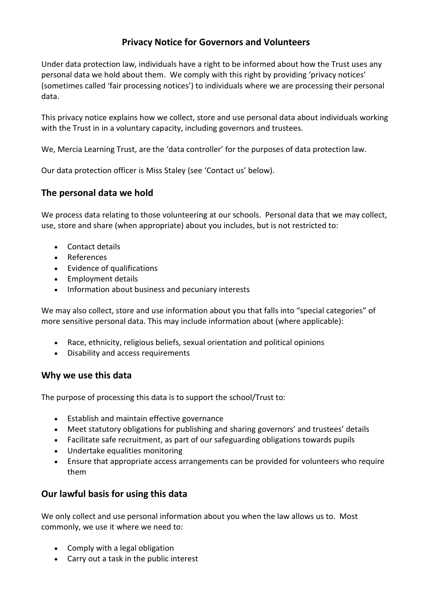# **Privacy Notice for Governors and Volunteers**

Under data protection law, individuals have a right to be informed about how the Trust uses any personal data we hold about them. We comply with this right by providing 'privacy notices' (sometimes called 'fair processing notices') to individuals where we are processing their personal data.

This privacy notice explains how we collect, store and use personal data about individuals working with the Trust in in a voluntary capacity, including governors and trustees.

We, Mercia Learning Trust, are the 'data controller' for the purposes of data protection law.

Our data protection officer is Miss Staley (see 'Contact us' below).

## **The personal data we hold**

We process data relating to those volunteering at our schools. Personal data that we may collect, use, store and share (when appropriate) about you includes, but is not restricted to:

- Contact details
- References
- Evidence of qualifications
- Employment details
- Information about business and pecuniary interests

We may also collect, store and use information about you that falls into "special categories" of more sensitive personal data. This may include information about (where applicable):

- Race, ethnicity, religious beliefs, sexual orientation and political opinions
- Disability and access requirements

## **Why we use this data**

The purpose of processing this data is to support the school/Trust to:

- Establish and maintain effective governance
- Meet statutory obligations for publishing and sharing governors' and trustees' details
- Facilitate safe recruitment, as part of our safeguarding obligations towards pupils
- Undertake equalities monitoring
- Ensure that appropriate access arrangements can be provided for volunteers who require them

# **Our lawful basis for using this data**

We only collect and use personal information about you when the law allows us to. Most commonly, we use it where we need to:

- Comply with a legal obligation
- Carry out a task in the public interest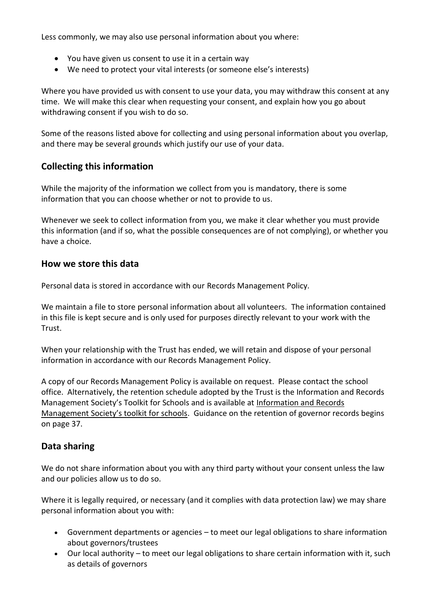Less commonly, we may also use personal information about you where:

- You have given us consent to use it in a certain way
- We need to protect your vital interests (or someone else's interests)

Where you have provided us with consent to use your data, you may withdraw this consent at any time. We will make this clear when requesting your consent, and explain how you go about withdrawing consent if you wish to do so.

Some of the reasons listed above for collecting and using personal information about you overlap, and there may be several grounds which justify our use of your data.

# **Collecting this information**

While the majority of the information we collect from you is mandatory, there is some information that you can choose whether or not to provide to us.

Whenever we seek to collect information from you, we make it clear whether you must provide this information (and if so, what the possible consequences are of not complying), or whether you have a choice.

## **How we store this data**

Personal data is stored in accordance with our Records Management Policy.

We maintain a file to store personal information about all volunteers. The information contained in this file is kept secure and is only used for purposes directly relevant to your work with the Trust.

When your relationship with the Trust has ended, we will retain and dispose of your personal information in accordance with our Records Management Policy.

A copy of our Records Management Policy is available on request. Please contact the school office. Alternatively, the retention schedule adopted by the Trust is the Information and Records Management Society's Toolkit for Schools and is available at [Information and Records](http://irms.org.uk/?page=schoolstoolkit&terms=%22toolkit+and+schools%22)  [Management Society's toolkit for schools](http://irms.org.uk/?page=schoolstoolkit&terms=%22toolkit+and+schools%22). Guidance on the retention of governor records begins on page 37.

## **Data sharing**

We do not share information about you with any third party without your consent unless the law and our policies allow us to do so.

Where it is legally required, or necessary (and it complies with data protection law) we may share personal information about you with:

- Government departments or agencies to meet our legal obligations to share information about governors/trustees
- Our local authority to meet our legal obligations to share certain information with it, such as details of governors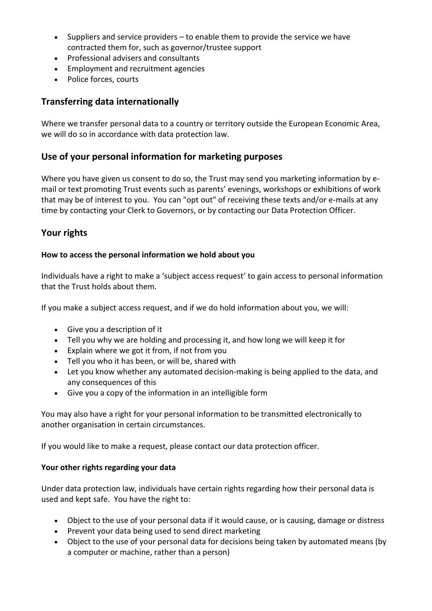- Suppliers and service providers to enable them to provide the service we have contracted them for, such as governor/trustee support
- Professional advisers and consultants
- Employment and recruitment agencies
- Police forces, courts

## **Transferring data internationally**

Where we transfer personal data to a country or territory outside the European Economic Area, we will do so in accordance with data protection law.

#### **Use of your personal information for marketing purposes**

Where you have given us consent to do so, the Trust may send you marketing information by email or text promoting Trust events such as parents' evenings, workshops or exhibitions of work that may be of interest to you. You can "opt out" of receiving these texts and/or e-mails at any time by contacting your Clerk to Governors, or by contacting our Data Protection Officer.

## **Your rights**

#### **How to access the personal information we hold about you**

Individuals have a right to make a 'subject access request' to gain access to personal information that the Trust holds about them.

If you make a subject access request, and if we do hold information about you, we will:

- Give you a description of it
- Tell you why we are holding and processing it, and how long we will keep it for
- Explain where we got it from, if not from you
- Tell you who it has been, or will be, shared with
- Let you know whether any automated decision-making is being applied to the data, and any consequences of this
- Give you a copy of the information in an intelligible form

You may also have a right for your personal information to be transmitted electronically to another organisation in certain circumstances.

If you would like to make a request, please contact our data protection officer.

#### **Your other rights regarding your data**

Under data protection law, individuals have certain rights regarding how their personal data is used and kept safe. You have the right to:

- Object to the use of your personal data if it would cause, or is causing, damage or distress
- Prevent your data being used to send direct marketing
- Object to the use of your personal data for decisions being taken by automated means (by a computer or machine, rather than a person)